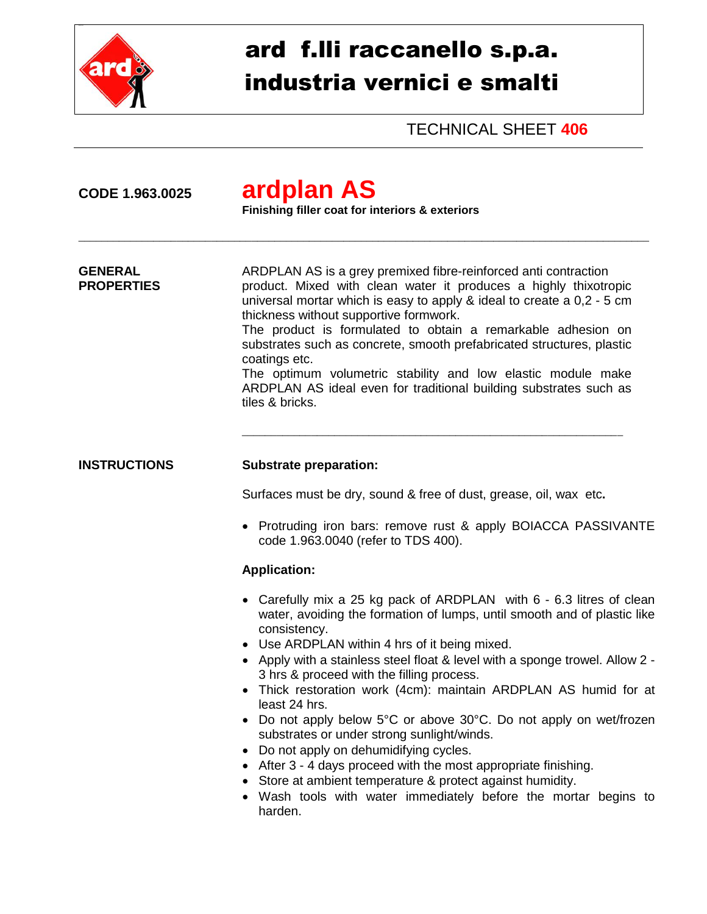

## ard f.lli raccanello s.p.a. industria vernici e smalti

TECHNICAL SHEET **406**

| CODE 1.963.0025                     | ardplan AS<br>Finishing filler coat for interiors & exteriors                                                                                                                                                                                                                                                                                                                                                                                                                                                                                                                                                                                                                                                                                                                                                                |  |
|-------------------------------------|------------------------------------------------------------------------------------------------------------------------------------------------------------------------------------------------------------------------------------------------------------------------------------------------------------------------------------------------------------------------------------------------------------------------------------------------------------------------------------------------------------------------------------------------------------------------------------------------------------------------------------------------------------------------------------------------------------------------------------------------------------------------------------------------------------------------------|--|
| <b>GENERAL</b><br><b>PROPERTIES</b> | ARDPLAN AS is a grey premixed fibre-reinforced anti contraction<br>product. Mixed with clean water it produces a highly thixotropic<br>universal mortar which is easy to apply & ideal to create a 0,2 - 5 cm<br>thickness without supportive formwork.<br>The product is formulated to obtain a remarkable adhesion on<br>substrates such as concrete, smooth prefabricated structures, plastic<br>coatings etc.<br>The optimum volumetric stability and low elastic module make<br>ARDPLAN AS ideal even for traditional building substrates such as<br>tiles & bricks.                                                                                                                                                                                                                                                    |  |
| <b>INSTRUCTIONS</b>                 | <b>Substrate preparation:</b>                                                                                                                                                                                                                                                                                                                                                                                                                                                                                                                                                                                                                                                                                                                                                                                                |  |
|                                     | Surfaces must be dry, sound & free of dust, grease, oil, wax etc.                                                                                                                                                                                                                                                                                                                                                                                                                                                                                                                                                                                                                                                                                                                                                            |  |
|                                     | • Protruding iron bars: remove rust & apply BOIACCA PASSIVANTE<br>code 1.963.0040 (refer to TDS 400).                                                                                                                                                                                                                                                                                                                                                                                                                                                                                                                                                                                                                                                                                                                        |  |
|                                     | <b>Application:</b>                                                                                                                                                                                                                                                                                                                                                                                                                                                                                                                                                                                                                                                                                                                                                                                                          |  |
|                                     | • Carefully mix a 25 kg pack of ARDPLAN with 6 - 6.3 litres of clean<br>water, avoiding the formation of lumps, until smooth and of plastic like<br>consistency.<br>• Use ARDPLAN within 4 hrs of it being mixed.<br>• Apply with a stainless steel float & level with a sponge trowel. Allow 2 -<br>3 hrs & proceed with the filling process.<br>• Thick restoration work (4cm): maintain ARDPLAN AS humid for at<br>least 24 hrs.<br>• Do not apply below 5°C or above 30°C. Do not apply on wet/frozen<br>substrates or under strong sunlight/winds.<br>Do not apply on dehumidifying cycles.<br>$\bullet$<br>• After 3 - 4 days proceed with the most appropriate finishing.<br>• Store at ambient temperature & protect against humidity.<br>• Wash tools with water immediately before the mortar begins to<br>harden. |  |